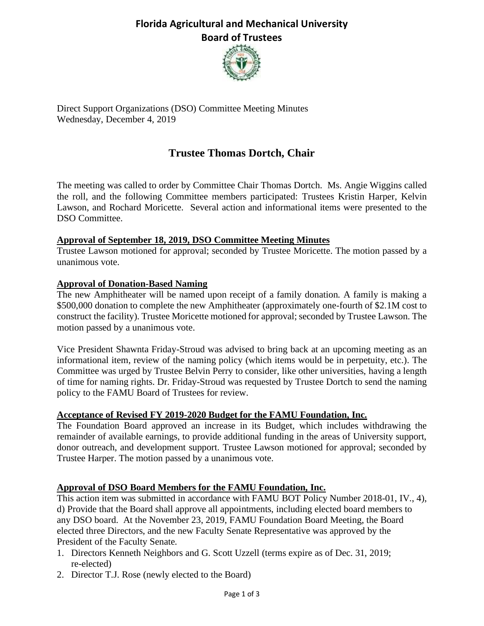# **Florida Agricultural and Mechanical University Board of Trustees**



Direct Support Organizations (DSO) Committee Meeting Minutes Wednesday, December 4, 2019

# **Trustee Thomas Dortch, Chair**

The meeting was called to order by Committee Chair Thomas Dortch. Ms. Angie Wiggins called the roll, and the following Committee members participated: Trustees Kristin Harper, Kelvin Lawson, and Rochard Moricette. Several action and informational items were presented to the DSO Committee.

#### **Approval of September 18, 2019, DSO Committee Meeting Minutes**

Trustee Lawson motioned for approval; seconded by Trustee Moricette. The motion passed by a unanimous vote.

#### **Approval of Donation-Based Naming**

The new Amphitheater will be named upon receipt of a family donation. A family is making a \$500,000 donation to complete the new Amphitheater (approximately one-fourth of \$2.1M cost to construct the facility). Trustee Moricette motioned for approval; seconded by Trustee Lawson. The motion passed by a unanimous vote.

Vice President Shawnta Friday-Stroud was advised to bring back at an upcoming meeting as an informational item, review of the naming policy (which items would be in perpetuity, etc.). The Committee was urged by Trustee Belvin Perry to consider, like other universities, having a length of time for naming rights. Dr. Friday-Stroud was requested by Trustee Dortch to send the naming policy to the FAMU Board of Trustees for review.

#### **Acceptance of Revised FY 2019-2020 Budget for the FAMU Foundation, Inc.**

The Foundation Board approved an increase in its Budget, which includes withdrawing the remainder of available earnings, to provide additional funding in the areas of University support, donor outreach, and development support. Trustee Lawson motioned for approval; seconded by Trustee Harper. The motion passed by a unanimous vote.

### **Approval of DSO Board Members for the FAMU Foundation, Inc.**

This action item was submitted in accordance with FAMU BOT Policy Number 2018-01, IV., 4), d) Provide that the Board shall approve all appointments, including elected board members to any DSO board. At the November 23, 2019, FAMU Foundation Board Meeting, the Board elected three Directors, and the new Faculty Senate Representative was approved by the President of the Faculty Senate.

- 1. Directors Kenneth Neighbors and G. Scott Uzzell (terms expire as of Dec. 31, 2019; re-elected)
- 2. Director T.J. Rose (newly elected to the Board)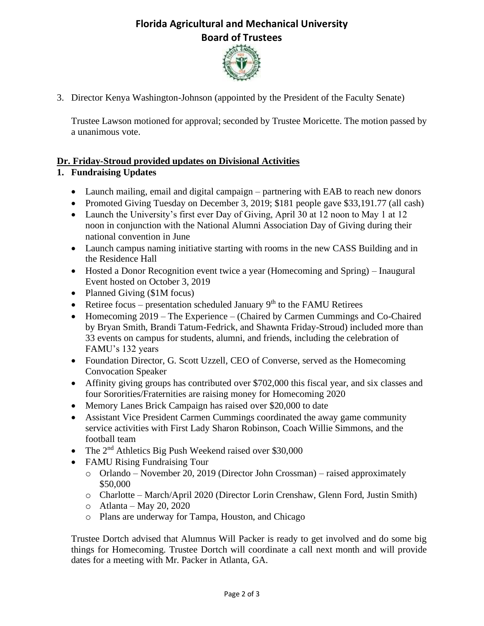# **Florida Agricultural and Mechanical University Board of Trustees**



3. Director Kenya Washington-Johnson (appointed by the President of the Faculty Senate)

Trustee Lawson motioned for approval; seconded by Trustee Moricette. The motion passed by a unanimous vote.

### **Dr. Friday-Stroud provided updates on Divisional Activities**

### **1. Fundraising Updates**

- Launch mailing, email and digital campaign partnering with EAB to reach new donors
- Promoted Giving Tuesday on December 3, 2019; \$181 people gave \$33,191.77 (all cash)
- Launch the University's first ever Day of Giving, April 30 at 12 noon to May 1 at 12 noon in conjunction with the National Alumni Association Day of Giving during their national convention in June
- Launch campus naming initiative starting with rooms in the new CASS Building and in the Residence Hall
- Hosted a Donor Recognition event twice a year (Homecoming and Spring) Inaugural Event hosted on October 3, 2019
- Planned Giving (\$1M focus)
- Retiree focus presentation scheduled January  $9<sup>th</sup>$  to the FAMU Retirees
- Homecoming 2019 The Experience (Chaired by Carmen Cummings and Co-Chaired by Bryan Smith, Brandi Tatum-Fedrick, and Shawnta Friday-Stroud) included more than 33 events on campus for students, alumni, and friends, including the celebration of FAMU's 132 years
- Foundation Director, G. Scott Uzzell, CEO of Converse, served as the Homecoming Convocation Speaker
- Affinity giving groups has contributed over \$702,000 this fiscal year, and six classes and four Sororities/Fraternities are raising money for Homecoming 2020
- Memory Lanes Brick Campaign has raised over \$20,000 to date
- Assistant Vice President Carmen Cummings coordinated the away game community service activities with First Lady Sharon Robinson, Coach Willie Simmons, and the football team
- The 2<sup>nd</sup> Athletics Big Push Weekend raised over \$30,000
- FAMU Rising Fundraising Tour
	- o Orlando November 20, 2019 (Director John Crossman) raised approximately \$50,000
	- o Charlotte March/April 2020 (Director Lorin Crenshaw, Glenn Ford, Justin Smith)
	- $\circ$  Atlanta May 20, 2020
	- o Plans are underway for Tampa, Houston, and Chicago

Trustee Dortch advised that Alumnus Will Packer is ready to get involved and do some big things for Homecoming. Trustee Dortch will coordinate a call next month and will provide dates for a meeting with Mr. Packer in Atlanta, GA.